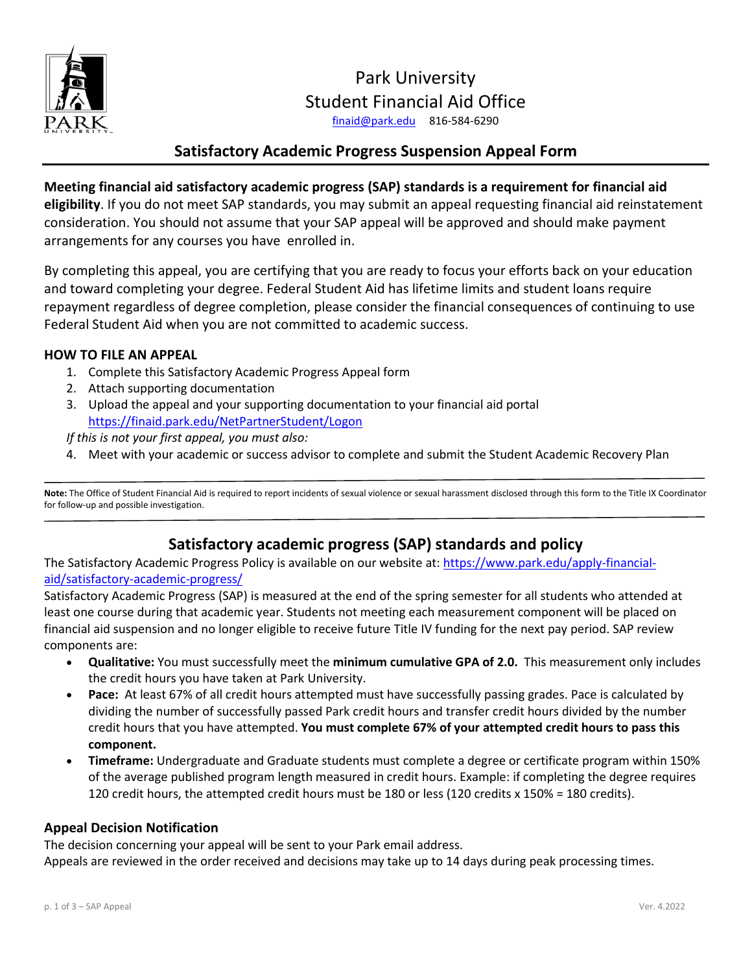

# Student Financial Aid Office Park University [finaid@park.edu](mailto:finaid@park.edu) 816-584-6290

## **Satisfactory Academic Progress Suspension Appeal Form**

 **eligibility**. If you do not meet SAP standards, you may submit an appeal requesting financial aid reinstatement **Meeting financial aid satisfactory academic progress (SAP) standards is a requirement for financial aid**  consideration. You should not assume that your SAP appeal will be approved and should make payment arrangements for any courses you have enrolled in.

 By completing this appeal, you are certifying that you are ready to focus your efforts back on your education repayment regardless of degree completion, please consider the financial consequences of continuing to use and toward completing your degree. Federal Student Aid has lifetime limits and student loans require Federal Student Aid when you are not committed to academic success.

#### **HOW TO FILE AN APPEAL**

- 1. Complete this Satisfactory Academic Progress Appeal form
- 2. Attach supporting documentation
- 3. Upload the appeal and your supporting documentation to your financial aid portal <https://finaid.park.edu/NetPartnerStudent/Logon>

*If this is not your first appeal, you must also:* 

4. Meet with your academic or success advisor to complete and submit the Student Academic Recovery Plan

 **Note:** The Office of Student Financial Aid is required to report incidents of sexual violence or sexual harassment disclosed through this form to the Title IX Coordinator for follow-up and possible investigation.

## **Satisfactory academic progress (SAP) standards and policy**

The Satisfactory Academic Progress Policy is available on our website at: [https://www.park.edu/apply-financial](https://www.park.edu/apply-financial-aid/satisfactory-academic-progress/)aid/satisfactory-academic-progress/

 least one course during that academic year. Students not meeting each measurement component will be placed on financial aid suspension and no longer eligible to receive future Title IV funding for the next pay period. SAP review Satisfactory Academic Progress (SAP) is measured at the end of the spring semester for all students who attended at components are:

- • **Qualitative:** You must successfully meet the **minimum cumulative GPA of 2.0.** This measurement only includes the credit hours you have taken at Park University.
- • **Pace:** At least 67% of all credit hours attempted must have successfully passing grades. Pace is calculated by dividing the number of successfully passed Park credit hours and transfer credit hours divided by the number credit hours that you have attempted. **You must complete 67% of your attempted credit hours to pass this component.**
- • **Timeframe:** Undergraduate and Graduate students must complete a degree or certificate program within 150% of the average published program length measured in credit hours. Example: if completing the degree requires 120 credit hours, the attempted credit hours must be 180 or less (120 credits x 150% = 180 credits).

#### **Appeal Decision Notification**

The decision concerning your appeal will be sent to your Park email address.

Appeals are reviewed in the order received and decisions may take up to 14 days during peak processing times.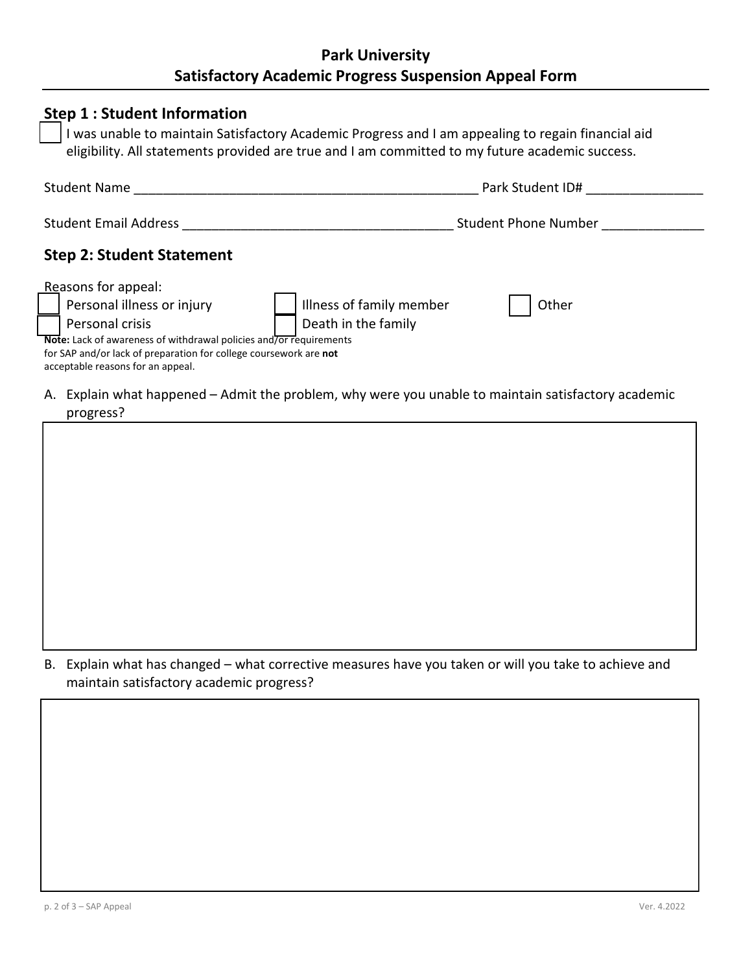# **Park University Satisfactory Academic Progress Suspension Appeal Form**

|                                                                                                                                                                                                                                                                                                         | Park Student ID#     |  |
|---------------------------------------------------------------------------------------------------------------------------------------------------------------------------------------------------------------------------------------------------------------------------------------------------------|----------------------|--|
| Student Email Address                                                                                                                                                                                                                                                                                   | Student Phone Number |  |
| <b>Step 2: Student Statement</b>                                                                                                                                                                                                                                                                        |                      |  |
| Reasons for appeal:<br>Personal illness or injury<br>Illness of family member<br>Personal crisis<br>Death in the family<br>Note: Lack of awareness of withdrawal policies and/or requirements<br>for SAP and/or lack of preparation for college coursework are not<br>acceptable reasons for an appeal. | Other                |  |
| A. Explain what happened - Admit the problem, why were you unable to maintain satisfactory academic<br>progress?                                                                                                                                                                                        |                      |  |

B. Explain what has changed – what corrective measures have you taken or will you take to achieve and maintain satisfactory academic progress?